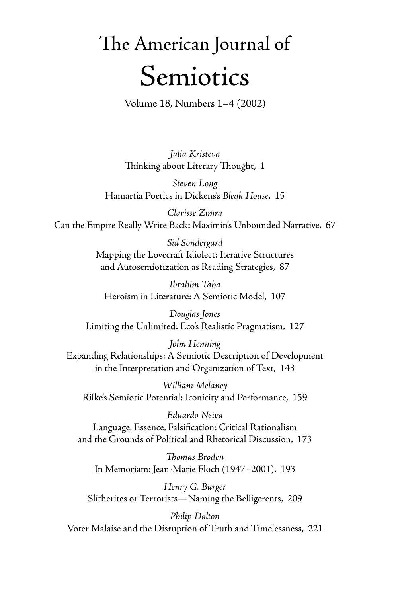## The American Journal of Semiotics

Volume 18, Numbers 1–4 (2002)

*Julia Kristeva* Thinking about Literary Thought, 1

*Steven Long* Hamartia Poetics in Dickens's *Bleak House*, 15

*Clarisse Zimra* Can the Empire Really Write Back: Maximin's Unbounded Narrative, 67

> *Sid Sondergard* Mapping the Lovecraft Idiolect: Iterative Structures and Autosemiotization as Reading Strategies, 87

*Ibrahim Taha* Heroism in Literature: A Semiotic Model, 107

*Douglas Jones* Limiting the Unlimited: Eco's Realistic Pragmatism, 127

*John Henning* Expanding Relationships: A Semiotic Description of Development in the Interpretation and Organization of Text, 143

*William Melaney* Rilke's Semiotic Potential: Iconicity and Performance, 159

*Eduardo Neiva* Language, Essence, Falsification: Critical Rationalism and the Grounds of Political and Rhetorical Discussion, 173

*Th omas Broden* In Memoriam: Jean-Marie Floch (1947–2001), 193

*Henry G. Burger* Slitherites or Terrorists—Naming the Belligerents, 209

*Philip Dalton* Voter Malaise and the Disruption of Truth and Timelessness, 221